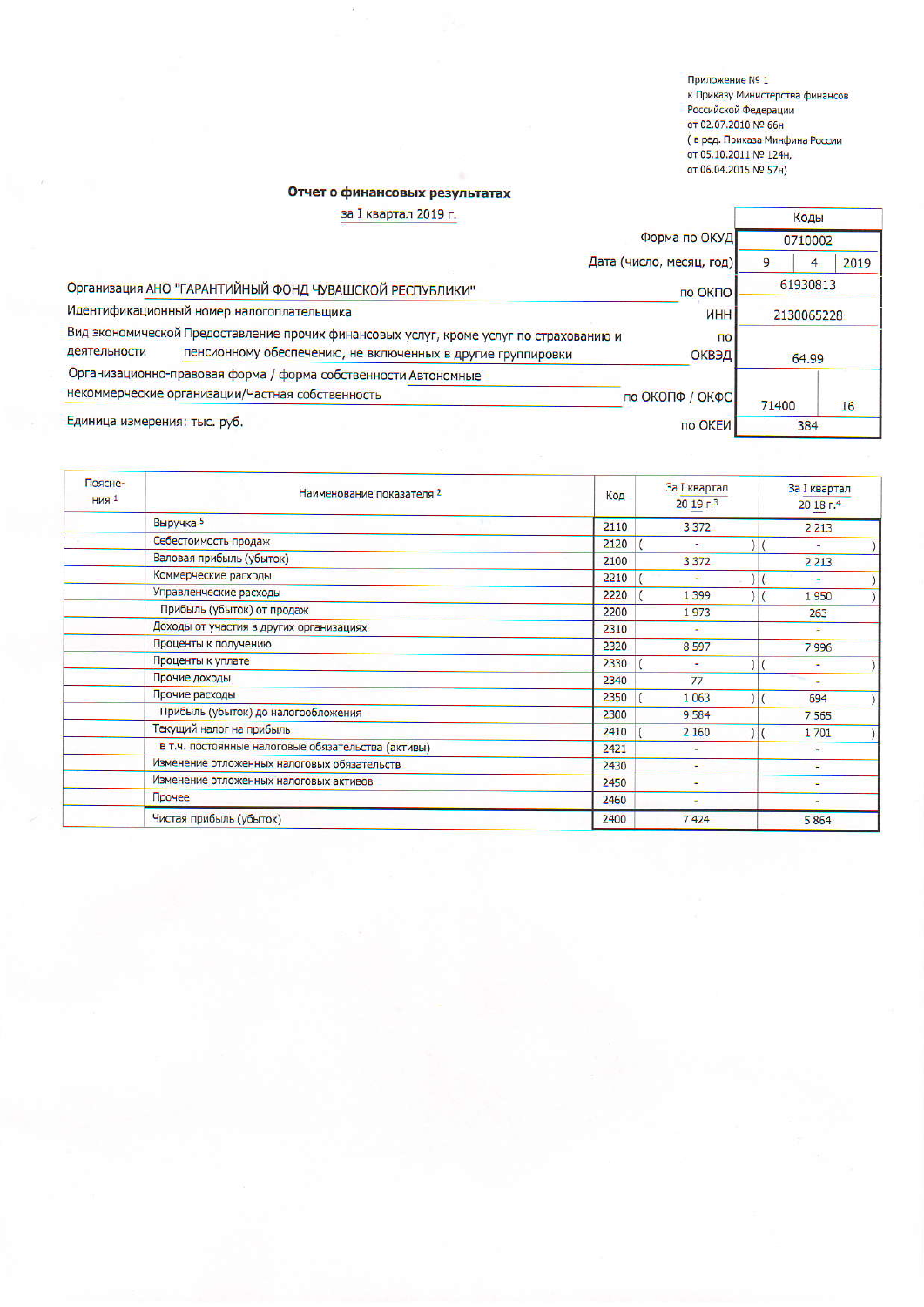Приложение № 1 к Приказу Министерства финансов Российской Федерации от 02.07.2010 № 66н ( в ред. Приказа Минфина России от 05.10.2011 № 124н,<br>от 06.04.2015 № 57н)

## Отчет о финансовых результатах

| за I квартал 2019 г.                                                                                                                                                  |                                                                |                          | Коды       |      |  |
|-----------------------------------------------------------------------------------------------------------------------------------------------------------------------|----------------------------------------------------------------|--------------------------|------------|------|--|
|                                                                                                                                                                       | Форма по ОКУД                                                  |                          | 0710002    |      |  |
|                                                                                                                                                                       |                                                                | Дата (число, месяц, год) | 9          | 2019 |  |
| Организация АНО "ГАРАНТИЙНЫЙ ФОНД ЧУВАШСКОЙ РЕСПУБЛИКИ"<br>по ОКПО                                                                                                    |                                                                | 61930813                 |            |      |  |
| Идентификационный номер налогоплательщика                                                                                                                             |                                                                | <b><i>UHH</i></b>        | 2130065228 |      |  |
| Вид экономической Предоставление прочих финансовых услуг, кроме услуг по страхованию и<br>деятельности<br>пенсионному обеспечению, не включенных в другие группировки |                                                                | $\overline{10}$<br>ОКВЭД | 64.99      |      |  |
|                                                                                                                                                                       | Организационно-правовая форма / форма собственности Автономные |                          |            |      |  |
|                                                                                                                                                                       | некоммерческие организации/Частная собственность               | по ОКОПФ / ОКФС          | 71400      | 16   |  |
| Единица измерения: тыс. руб.                                                                                                                                          |                                                                | по ОКЕИ                  | 384        |      |  |

| Поясне-<br><b>НИЯ</b> 1 | Наименование показателя 2                          | Код  | <b>За I квартал</b><br>2019 <sub>5</sub> | За I квартал<br>20 18 г.4 |  |
|-------------------------|----------------------------------------------------|------|------------------------------------------|---------------------------|--|
|                         | Выручка 5                                          | 2110 | 3 3 7 2                                  | 2 2 1 3                   |  |
|                         | Себестоимость продаж                               | 2120 | ٠                                        |                           |  |
|                         | Валовая прибыль (убыток)                           | 2100 | 3 3 7 2                                  | 2 2 1 3                   |  |
|                         | Коммерческие расходы                               | 2210 |                                          |                           |  |
|                         | Управленческие расходы                             | 2220 | 1 3 9 9                                  | 1950                      |  |
|                         | Прибыль (убыток) от продаж                         | 2200 | 1973                                     | 263                       |  |
|                         | Доходы от участия в других организациях            | 2310 | ٠                                        | ÷                         |  |
|                         | Проценты к получению                               | 2320 | 8597                                     | 7996                      |  |
|                         | Проценты к уплате                                  | 2330 | ÷                                        | ۰                         |  |
|                         | Прочие доходы                                      | 2340 | 77                                       | ۰                         |  |
|                         | Прочие расходы                                     | 2350 | 1063                                     | 694                       |  |
|                         | Прибыль (убыток) до налогообложения                | 2300 | 9584                                     | 7565                      |  |
|                         | Текущий налог на прибыль                           | 2410 | 2 1 6 0                                  | 1701                      |  |
|                         | в т.ч. постоянные налоговые обязательства (активы) | 2421 |                                          | $\overline{a}$            |  |
|                         | Изменение отложенных налоговых обязательств        | 2430 | ۰                                        | ÷                         |  |
|                         | Изменение отложенных налоговых активов             | 2450 | ۰                                        |                           |  |
|                         | Прочее                                             | 2460 |                                          |                           |  |
|                         | Чистая прибыль (убыток)                            | 2400 | 7424                                     | 5864                      |  |